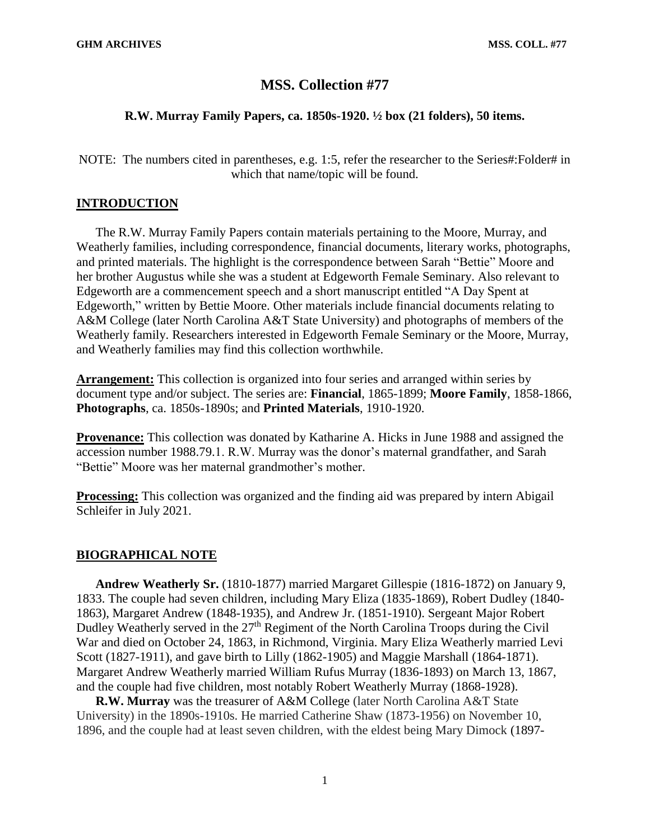# **MSS. Collection #77**

## **R.W. Murray Family Papers, ca. 1850s-1920. ½ box (21 folders), 50 items.**

NOTE: The numbers cited in parentheses, e.g. 1:5, refer the researcher to the Series#:Folder# in which that name/topic will be found.

## **INTRODUCTION**

The R.W. Murray Family Papers contain materials pertaining to the Moore, Murray, and Weatherly families, including correspondence, financial documents, literary works, photographs, and printed materials. The highlight is the correspondence between Sarah "Bettie" Moore and her brother Augustus while she was a student at Edgeworth Female Seminary. Also relevant to Edgeworth are a commencement speech and a short manuscript entitled "A Day Spent at Edgeworth," written by Bettie Moore. Other materials include financial documents relating to A&M College (later North Carolina A&T State University) and photographs of members of the Weatherly family. Researchers interested in Edgeworth Female Seminary or the Moore, Murray, and Weatherly families may find this collection worthwhile.

**Arrangement:** This collection is organized into four series and arranged within series by document type and/or subject. The series are: **Financial**, 1865-1899; **Moore Family**, 1858-1866, **Photographs**, ca. 1850s-1890s; and **Printed Materials**, 1910-1920.

**Provenance:** This collection was donated by Katharine A. Hicks in June 1988 and assigned the accession number 1988.79.1. R.W. Murray was the donor's maternal grandfather, and Sarah "Bettie" Moore was her maternal grandmother's mother.

**Processing:** This collection was organized and the finding aid was prepared by intern Abigail Schleifer in July 2021.

## **BIOGRAPHICAL NOTE**

**Andrew Weatherly Sr.** (1810-1877) married Margaret Gillespie (1816-1872) on January 9, 1833. The couple had seven children, including Mary Eliza (1835-1869), Robert Dudley (1840- 1863), Margaret Andrew (1848-1935), and Andrew Jr. (1851-1910). Sergeant Major Robert Dudley Weatherly served in the 27<sup>th</sup> Regiment of the North Carolina Troops during the Civil War and died on October 24, 1863, in Richmond, Virginia. Mary Eliza Weatherly married Levi Scott (1827-1911), and gave birth to Lilly (1862-1905) and Maggie Marshall (1864-1871). Margaret Andrew Weatherly married William Rufus Murray (1836-1893) on March 13, 1867, and the couple had five children, most notably Robert Weatherly Murray (1868-1928).

**R.W. Murray** was the treasurer of A&M College (later North Carolina A&T State University) in the 1890s-1910s. He married Catherine Shaw (1873-1956) on November 10, 1896, and the couple had at least seven children, with the eldest being Mary Dimock (1897-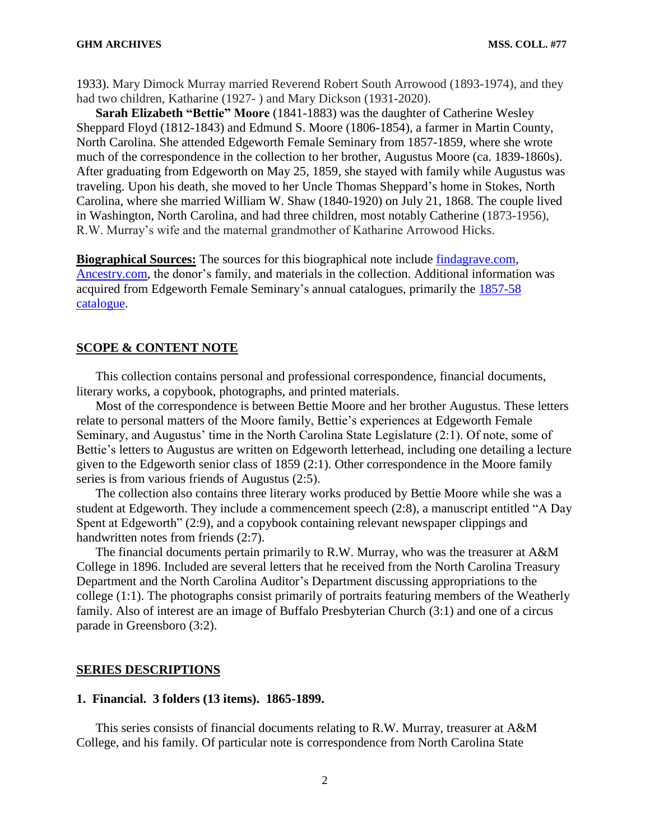1933). Mary Dimock Murray married Reverend Robert South Arrowood (1893-1974), and they had two children, Katharine (1927- ) and Mary Dickson (1931-2020).

**Sarah Elizabeth "Bettie" Moore** (1841-1883) was the daughter of Catherine Wesley Sheppard Floyd (1812-1843) and Edmund S. Moore (1806-1854), a farmer in Martin County, North Carolina. She attended Edgeworth Female Seminary from 1857-1859, where she wrote much of the correspondence in the collection to her brother, Augustus Moore (ca. 1839-1860s). After graduating from Edgeworth on May 25, 1859, she stayed with family while Augustus was traveling. Upon his death, she moved to her Uncle Thomas Sheppard's home in Stokes, North Carolina, where she married William W. Shaw (1840-1920) on July 21, 1868. The couple lived in Washington, North Carolina, and had three children, most notably Catherine (1873-1956), R.W. Murray's wife and the maternal grandmother of Katharine Arrowood Hicks.

**Biographical Sources:** The sources for this biographical note include [findagrave.com,](https://www.findagrave.com/) [Ancestry.com,](https://ancestry.com/) the donor's family, and materials in the collection. Additional information was acquired from Edgeworth Female Seminary's annual catalogues, primarily the [1857-58](https://archive.org/details/annualcatalogueo1818edge/mode/2up)  [catalogue.](https://archive.org/details/annualcatalogueo1818edge/mode/2up)

#### **SCOPE & CONTENT NOTE**

This collection contains personal and professional correspondence, financial documents, literary works, a copybook, photographs, and printed materials.

Most of the correspondence is between Bettie Moore and her brother Augustus. These letters relate to personal matters of the Moore family, Bettie's experiences at Edgeworth Female Seminary, and Augustus' time in the North Carolina State Legislature (2:1). Of note, some of Bettie's letters to Augustus are written on Edgeworth letterhead, including one detailing a lecture given to the Edgeworth senior class of 1859 (2:1). Other correspondence in the Moore family series is from various friends of Augustus (2:5).

The collection also contains three literary works produced by Bettie Moore while she was a student at Edgeworth. They include a commencement speech (2:8), a manuscript entitled "A Day Spent at Edgeworth" (2:9), and a copybook containing relevant newspaper clippings and handwritten notes from friends (2:7).

The financial documents pertain primarily to R.W. Murray, who was the treasurer at A&M College in 1896. Included are several letters that he received from the North Carolina Treasury Department and the North Carolina Auditor's Department discussing appropriations to the college (1:1). The photographs consist primarily of portraits featuring members of the Weatherly family. Also of interest are an image of Buffalo Presbyterian Church (3:1) and one of a circus parade in Greensboro (3:2).

#### **SERIES DESCRIPTIONS**

### **1. Financial. 3 folders (13 items). 1865-1899.**

This series consists of financial documents relating to R.W. Murray, treasurer at A&M College, and his family. Of particular note is correspondence from North Carolina State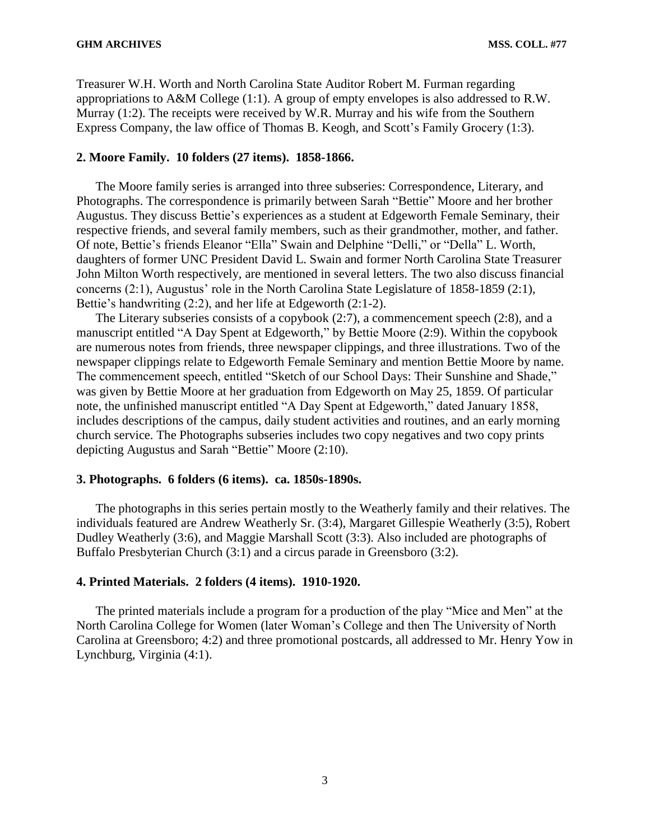Treasurer W.H. Worth and North Carolina State Auditor Robert M. Furman regarding appropriations to A&M College (1:1). A group of empty envelopes is also addressed to R.W. Murray (1:2). The receipts were received by W.R. Murray and his wife from the Southern Express Company, the law office of Thomas B. Keogh, and Scott's Family Grocery (1:3).

## **2. Moore Family. 10 folders (27 items). 1858-1866.**

The Moore family series is arranged into three subseries: Correspondence, Literary, and Photographs. The correspondence is primarily between Sarah "Bettie" Moore and her brother Augustus. They discuss Bettie's experiences as a student at Edgeworth Female Seminary, their respective friends, and several family members, such as their grandmother, mother, and father. Of note, Bettie's friends Eleanor "Ella" Swain and Delphine "Delli," or "Della" L. Worth, daughters of former UNC President David L. Swain and former North Carolina State Treasurer John Milton Worth respectively, are mentioned in several letters. The two also discuss financial concerns (2:1), Augustus' role in the North Carolina State Legislature of 1858-1859 (2:1), Bettie's handwriting (2:2), and her life at Edgeworth (2:1-2).

The Literary subseries consists of a copybook (2:7), a commencement speech (2:8), and a manuscript entitled "A Day Spent at Edgeworth," by Bettie Moore (2:9). Within the copybook are numerous notes from friends, three newspaper clippings, and three illustrations. Two of the newspaper clippings relate to Edgeworth Female Seminary and mention Bettie Moore by name. The commencement speech, entitled "Sketch of our School Days: Their Sunshine and Shade," was given by Bettie Moore at her graduation from Edgeworth on May 25, 1859. Of particular note, the unfinished manuscript entitled "A Day Spent at Edgeworth," dated January 1858, includes descriptions of the campus, daily student activities and routines, and an early morning church service. The Photographs subseries includes two copy negatives and two copy prints depicting Augustus and Sarah "Bettie" Moore (2:10).

### **3. Photographs. 6 folders (6 items). ca. 1850s-1890s.**

The photographs in this series pertain mostly to the Weatherly family and their relatives. The individuals featured are Andrew Weatherly Sr. (3:4), Margaret Gillespie Weatherly (3:5), Robert Dudley Weatherly (3:6), and Maggie Marshall Scott (3:3). Also included are photographs of Buffalo Presbyterian Church (3:1) and a circus parade in Greensboro (3:2).

#### **4. Printed Materials. 2 folders (4 items). 1910-1920.**

The printed materials include a program for a production of the play "Mice and Men" at the North Carolina College for Women (later Woman's College and then The University of North Carolina at Greensboro; 4:2) and three promotional postcards, all addressed to Mr. Henry Yow in Lynchburg, Virginia (4:1).